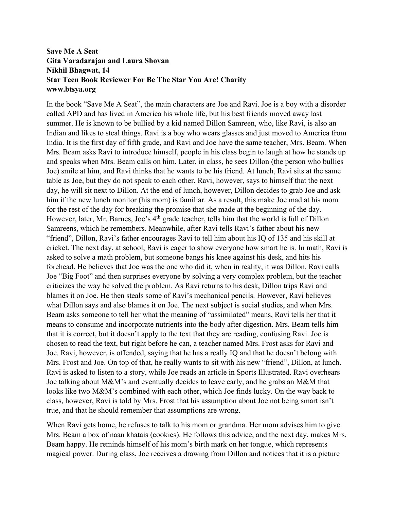## **Save Me A Seat Gita Varadarajan and Laura Shovan Nikhil Bhagwat, 14 Star Teen Book Reviewer For Be The Star You Are! Charity www.btsya.org**

In the book "Save Me A Seat", the main characters are Joe and Ravi. Joe is a boy with a disorder called APD and has lived in America his whole life, but his best friends moved away last summer. He is known to be bullied by a kid named Dillon Samreen, who, like Ravi, is also an Indian and likes to steal things. Ravi is a boy who wears glasses and just moved to America from India. It is the first day of fifth grade, and Ravi and Joe have the same teacher, Mrs. Beam. When Mrs. Beam asks Ravi to introduce himself, people in his class begin to laugh at how he stands up and speaks when Mrs. Beam calls on him. Later, in class, he sees Dillon (the person who bullies Joe) smile at him, and Ravi thinks that he wants to be his friend. At lunch, Ravi sits at the same table as Joe, but they do not speak to each other. Ravi, however, says to himself that the next day, he will sit next to Dillon. At the end of lunch, however, Dillon decides to grab Joe and ask him if the new lunch monitor (his mom) is familiar. As a result, this make Joe mad at his mom for the rest of the day for breaking the promise that she made at the beginning of the day. However, later, Mr. Barnes, Joe's 4<sup>th</sup> grade teacher, tells him that the world is full of Dillon Samreens, which he remembers. Meanwhile, after Ravi tells Ravi's father about his new "friend", Dillon, Ravi's father encourages Ravi to tell him about his IQ of 135 and his skill at cricket. The next day, at school, Ravi is eager to show everyone how smart he is. In math, Ravi is asked to solve a math problem, but someone bangs his knee against his desk, and hits his forehead. He believes that Joe was the one who did it, when in reality, it was Dillon. Ravi calls Joe "Big Foot" and then surprises everyone by solving a very complex problem, but the teacher criticizes the way he solved the problem. As Ravi returns to his desk, Dillon trips Ravi and blames it on Joe. He then steals some of Ravi's mechanical pencils. However, Ravi believes what Dillon says and also blames it on Joe. The next subject is social studies, and when Mrs. Beam asks someone to tell her what the meaning of "assimilated" means, Ravi tells her that it means to consume and incorporate nutrients into the body after digestion. Mrs. Beam tells him that it is correct, but it doesn't apply to the text that they are reading, confusing Ravi. Joe is chosen to read the text, but right before he can, a teacher named Mrs. Frost asks for Ravi and Joe. Ravi, however, is offended, saying that he has a really IQ and that he doesn't belong with Mrs. Frost and Joe. On top of that, he really wants to sit with his new "friend", Dillon, at lunch. Ravi is asked to listen to a story, while Joe reads an article in Sports Illustrated. Ravi overhears Joe talking about M&M's and eventually decides to leave early, and he grabs an M&M that looks like two M&M's combined with each other, which Joe finds lucky. On the way back to class, however, Ravi is told by Mrs. Frost that his assumption about Joe not being smart isn't true, and that he should remember that assumptions are wrong.

When Ravi gets home, he refuses to talk to his mom or grandma. Her mom advises him to give Mrs. Beam a box of naan khatais (cookies). He follows this advice, and the next day, makes Mrs. Beam happy. He reminds himself of his mom's birth mark on her tongue, which represents magical power. During class, Joe receives a drawing from Dillon and notices that it is a picture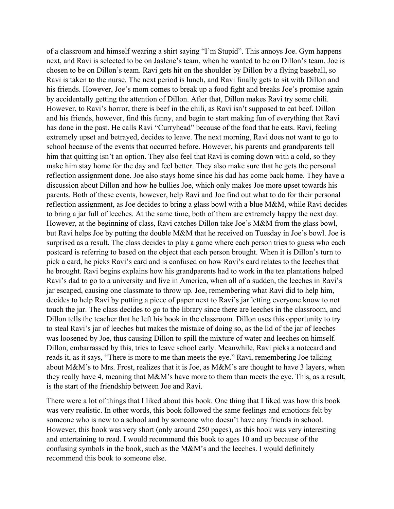of a classroom and himself wearing a shirt saying "I'm Stupid". This annoys Joe. Gym happens next, and Ravi is selected to be on Jaslene's team, when he wanted to be on Dillon's team. Joe is chosen to be on Dillon's team. Ravi gets hit on the shoulder by Dillon by a flying baseball, so Ravi is taken to the nurse. The next period is lunch, and Ravi finally gets to sit with Dillon and his friends. However, Joe's mom comes to break up a food fight and breaks Joe's promise again by accidentally getting the attention of Dillon. After that, Dillon makes Ravi try some chili. However, to Ravi's horror, there is beef in the chili, as Ravi isn't supposed to eat beef. Dillon and his friends, however, find this funny, and begin to start making fun of everything that Ravi has done in the past. He calls Ravi "Curryhead" because of the food that he eats. Ravi, feeling extremely upset and betrayed, decides to leave. The next morning, Ravi does not want to go to school because of the events that occurred before. However, his parents and grandparents tell him that quitting isn't an option. They also feel that Ravi is coming down with a cold, so they make him stay home for the day and feel better. They also make sure that he gets the personal reflection assignment done. Joe also stays home since his dad has come back home. They have a discussion about Dillon and how he bullies Joe, which only makes Joe more upset towards his parents. Both of these events, however, help Ravi and Joe find out what to do for their personal reflection assignment, as Joe decides to bring a glass bowl with a blue M&M, while Ravi decides to bring a jar full of leeches. At the same time, both of them are extremely happy the next day. However, at the beginning of class, Ravi catches Dillon take Joe's M&M from the glass bowl, but Ravi helps Joe by putting the double M&M that he received on Tuesday in Joe's bowl. Joe is surprised as a result. The class decides to play a game where each person tries to guess who each postcard is referring to based on the object that each person brought. When it is Dillon's turn to pick a card, he picks Ravi's card and is confused on how Ravi's card relates to the leeches that he brought. Ravi begins explains how his grandparents had to work in the tea plantations helped Ravi's dad to go to a university and live in America, when all of a sudden, the leeches in Ravi's jar escaped, causing one classmate to throw up. Joe, remembering what Ravi did to help him, decides to help Ravi by putting a piece of paper next to Ravi's jar letting everyone know to not touch the jar. The class decides to go to the library since there are leeches in the classroom, and Dillon tells the teacher that he left his book in the classroom. Dillon uses this opportunity to try to steal Ravi's jar of leeches but makes the mistake of doing so, as the lid of the jar of leeches was loosened by Joe, thus causing Dillon to spill the mixture of water and leeches on himself. Dillon, embarrassed by this, tries to leave school early. Meanwhile, Ravi picks a notecard and reads it, as it says, "There is more to me than meets the eye." Ravi, remembering Joe talking about M&M's to Mrs. Frost, realizes that it is Joe, as M&M's are thought to have 3 layers, when they really have 4, meaning that M&M's have more to them than meets the eye. This, as a result, is the start of the friendship between Joe and Ravi.

There were a lot of things that I liked about this book. One thing that I liked was how this book was very realistic. In other words, this book followed the same feelings and emotions felt by someone who is new to a school and by someone who doesn't have any friends in school. However, this book was very short (only around 250 pages), as this book was very interesting and entertaining to read. I would recommend this book to ages 10 and up because of the confusing symbols in the book, such as the M&M's and the leeches. I would definitely recommend this book to someone else.